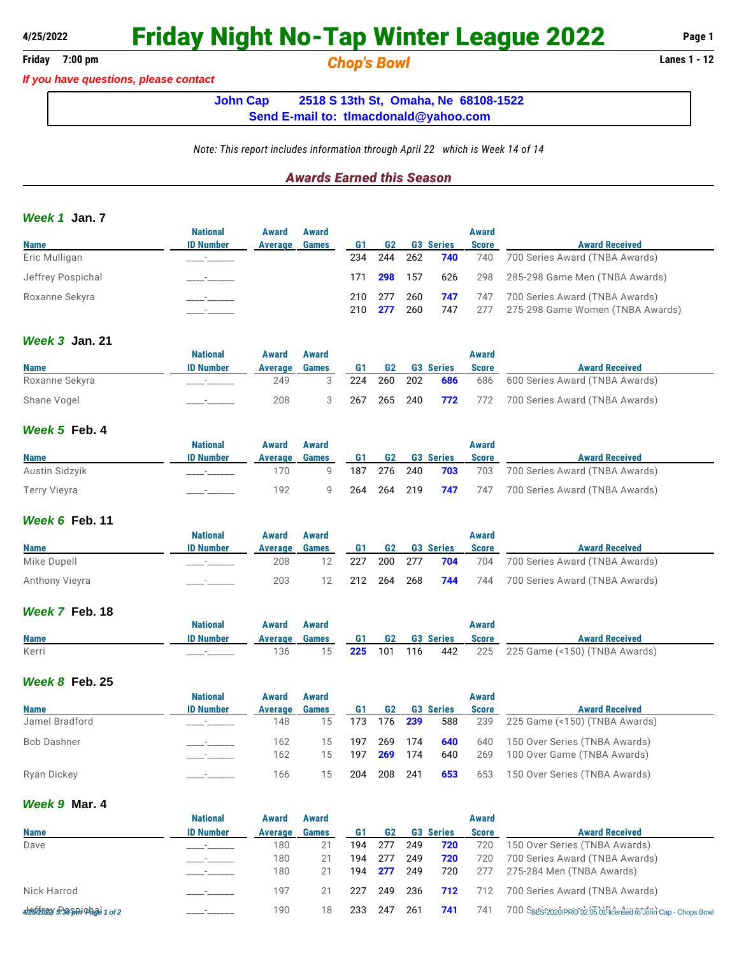## **4/25/2022 Friday Night No-Tap Winter League 2022 Page 1**

## **Friday 7:00 pm** *Chop's Bowl* **Lanes 1 - 12**

*If you have questions, please contact*

**John Cap 2518 S 13th St, Omaha, Ne 68108-1522 Send E-mail to: [tlmacdonald@yahoo.com](mailto:tlmacdonald@yahoo.com)**

*Note: This report includes information through April 22 which is Week 14 of 14*

## *Awards Earned this Season*

#### *Week 1* **Jan. 7**

|                   | <b>National</b>  | Award   | Award        |     |                 |            |                  | Award        |                                                                    |
|-------------------|------------------|---------|--------------|-----|-----------------|------------|------------------|--------------|--------------------------------------------------------------------|
| <b>Name</b>       | <b>ID Number</b> | Average | <b>Games</b> | G1  | G <sub>2</sub>  |            | <b>G3 Series</b> | <b>Score</b> | <b>Award Received</b>                                              |
| Eric Mulligan     |                  |         |              | 234 | 244             | 262        | 740              | 740          | 700 Series Award (TNBA Awards)                                     |
| Jeffrey Pospichal |                  |         |              | 171 | <b>298</b> 157  |            | 626              | 298          | 285-298 Game Men (TNBA Awards)                                     |
| Roxanne Sekyra    |                  |         |              | 210 | 210 277<br>-277 | 260<br>260 | 747<br>747       | 747<br>277   | 700 Series Award (TNBA Awards)<br>275-298 Game Women (TNBA Awards) |

## *Week 3* **Jan. 21**

|                | National         | Award   | Award        |     |         |                  | Award        |                                               |
|----------------|------------------|---------|--------------|-----|---------|------------------|--------------|-----------------------------------------------|
| <b>Name</b>    | <b>ID Number</b> | Average | <b>Games</b> | G1  | G2      | <b>G3 Series</b> | <b>Score</b> | <b>Award Received</b>                         |
| Roxanne Sekyra |                  | 249     |              | 224 | 260 202 | 686              |              | 686 600 Series Award (TNBA Awards)            |
| Shane Vogel    |                  | 208     |              | 267 | 265 240 |                  |              | <b>772</b> 772 700 Series Award (TNBA Awards) |

#### *Week 5* **Feb. 4**

|                | <b>National</b>  | Award   | Award |     |             |                  | Award        |                                        |
|----------------|------------------|---------|-------|-----|-------------|------------------|--------------|----------------------------------------|
| <b>Name</b>    | <b>ID Number</b> | Average | Games | G1. | <b>G2</b>   | <b>G3 Series</b> | <b>Score</b> | <b>Award Received</b>                  |
| Austin Sidzyik |                  | 170     |       | 187 | 276 240     |                  |              | 703 703 700 Series Award (TNBA Awards) |
| Terry Vieyra   |                  | 192     |       |     | 264 264 219 | 747              |              | 747 700 Series Award (TNBA Awards)     |

### *Week 6* **Feb. 11**

|                | National         | <b>Award</b> | Award        |     |    |         |                        | Award        |                                |
|----------------|------------------|--------------|--------------|-----|----|---------|------------------------|--------------|--------------------------------|
| <b>Name</b>    | <b>ID Number</b> | Average      | <b>Games</b> | G1  | G2 |         | <b>G3 Series</b>       | <b>Score</b> | <b>Award Received</b>          |
| Mike Dupell    |                  | 208          |              | 227 |    | 200 277 | 704                    | 704          | 700 Series Award (TNBA Awards) |
| Anthony Vieyra |                  | 203          | 12           |     |    |         | 212 264 268 <b>744</b> | 744          | 700 Series Award (TNBA Awards) |

## *Week 7* **Feb. 18**

|             | National  | Award   | Award |           |    |         |                  | Award        |                               |
|-------------|-----------|---------|-------|-----------|----|---------|------------------|--------------|-------------------------------|
| <b>Name</b> | ID Number | Average | Games | <b>G1</b> | G2 |         | <b>G3 Series</b> | <b>Score</b> | <b>Award Received</b>         |
| Kerri       |           | 136     |       | 225       |    | 101 116 | 442              | 225          | 225 Game (<150) (TNBA Awards) |

#### *Week 8* **Feb. 25**

|                | <b>National</b>  | Award   | Award        |     |         |                |                  | Award        |                               |
|----------------|------------------|---------|--------------|-----|---------|----------------|------------------|--------------|-------------------------------|
| <b>Name</b>    | <b>ID Number</b> | Average | <b>Games</b> | G1  | G2      |                | <b>G3 Series</b> | <b>Score</b> | <b>Award Received</b>         |
| Jamel Bradford |                  | 148     | 15           | 173 |         | 176 <b>239</b> | 588              | 239          | 225 Game (<150) (TNBA Awards) |
| Bob Dashner    |                  | 162     | 15           | 197 |         | 269 174        | 640              | 640          | 150 Over Series (TNBA Awards) |
|                |                  | 162     | 15           | 197 | 269     | - 174          | 640              | 269          | 100 Over Game (TNBA Awards)   |
| Ryan Dickey    |                  | 166     | 15           | 204 | 208 241 |                | 653              | 653          | 150 Over Series (TNBA Awards) |

### *Week 9* **Mar. 4**

|                                                                     | <b>National</b>  | Award   | Award        |     |     |     |                  | Award        |                                                              |
|---------------------------------------------------------------------|------------------|---------|--------------|-----|-----|-----|------------------|--------------|--------------------------------------------------------------|
| <b>Name</b>                                                         | <b>ID Number</b> | Average | <b>Games</b> |     | G2  |     | <b>G3 Series</b> | <b>Score</b> | <b>Award Received</b>                                        |
| Dave                                                                |                  | 180     | 21           | 194 | 277 | 249 | 720              | 720          | 150 Over Series (TNBA Awards)                                |
|                                                                     |                  | 180     | 21           | 194 | 277 | 249 | 720              | 720          | 700 Series Award (TNBA Awards)                               |
|                                                                     |                  | 180     | 21           | 194 | 277 | 249 | 720              | 277          | 275-284 Men (TNBA Awards)                                    |
| Nick Harrod                                                         |                  | 197     | 21           | 227 | 249 | 236 | 712              | 712          | 700 Series Award (TNBA Awards)                               |
| $425/2022/5$ $36$ $5p$ i $9a$ <sub><math>9d</math></sub> $1$ of $2$ |                  | 190     | 18           | 233 | 247 | 261 | 741              | 741          | 700 SBLS:2020/PRO 32.05.01 licensed to John Cap - Chops Bowl |